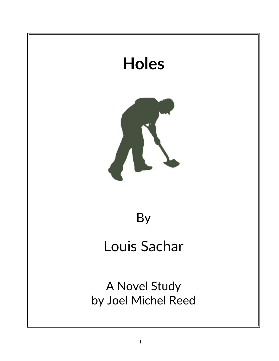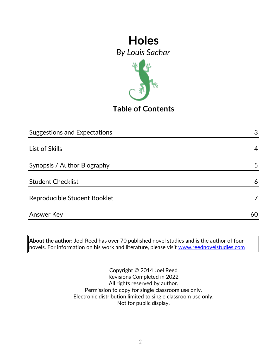

**Table of Contents**

| <b>Suggestions and Expectations</b> | 3  |
|-------------------------------------|----|
|                                     |    |
| List of Skills                      | 4  |
|                                     |    |
| Synopsis / Author Biography         | 5  |
|                                     |    |
| <b>Student Checklist</b>            | 6  |
| Reproducible Student Booklet        |    |
|                                     |    |
| Answer Key                          | 60 |

**About the author:** Joel Reed has over 70 published novel studies and is the author of four novels. For information on his work and literature, please visit [www.reednovelstudies.com](http://www.reednovelstudies.com/)

> Copyright © 2014 Joel Reed Revisions Completed in 2022 All rights reserved by author. Permission to copy for single classroom use only. Electronic distribution limited to single classroom use only. Not for public display.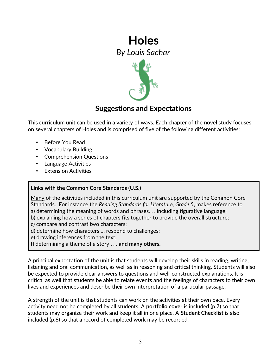

## **Suggestions and Expectations**

This curriculum unit can be used in a variety of ways. Each chapter of the novel study focuses on several chapters of Holes and is comprised of five of the following different activities:

- Before You Read
- Vocabulary Building
- Comprehension Questions
- Language Activities
- **Extension Activities**

### **Links with the Common Core Standards (U.S.)**

Many of the activities included in this curriculum unit are supported by the Common Core Standards. For instance the *Reading Standards for Literature, Grade 5*, makes reference to

- a) determining the meaning of words and phrases. . . including figurative language;
- b) explaining how a series of chapters fits together to provide the overall structure;
- c) compare and contrast two characters;
- d) determine how characters … respond to challenges;
- e) drawing inferences from the text;
- f) determining a theme of a story . . . **and many others.**

A principal expectation of the unit is that students will develop their skills in reading, writing, listening and oral communication, as well as in reasoning and critical thinking. Students will also be expected to provide clear answers to questions and well-constructed explanations. It is critical as well that students be able to relate events and the feelings of characters to their own lives and experiences and describe their own interpretation of a particular passage.

A strength of the unit is that students can work on the activities at their own pace. Every activity need not be completed by all students. A **portfolio cover** is included (p.7) so that students may organize their work and keep it all in one place. A **Student Checklist** is also included (p.6) so that a record of completed work may be recorded.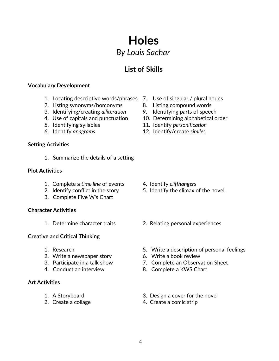## **List of Skills**

#### **Vocabulary Development**

- 1. Locating descriptive words/phrases 7. Use of singular / plural nouns
- 2. Listing synonyms/homonyms 8. Listing compound words
- 3. Identifying/creating *alliteration* 9. Identifying parts of speech
- 
- 
- 

#### **Setting Activities**

1. Summarize the details of a setting

#### **Plot Activities**

- 1. Complete a *time line* of events 4. Identify *cliffhangers*
- 
- 3. Complete Five W's Chart

#### **Character Activities**

#### **Creative and Critical Thinking**

- 
- 2. Write a newspaper story 6. Write a book review
- 
- 

#### **Art Activities**

- 
- 
- 
- 
- 
- 4. Use of capitals and punctuation 10. Determining alphabetical order
- 5. Identifying syllables 11. Identify *personification*
- 6. Identify *anagrams* 12. Identify/create *similes*

- 
- 2. Identify conflict in the story 5. Identify the climax of the novel.
- 1. Determine character traits 2. Relating personal experiences
- 1. Research 5. Write a description of personal feelings
	-
- 3. Participate in a talk show 7. Complete an Observation Sheet
- 4. Conduct an interview 8. Complete a KWS Chart
- 1. A Storyboard 3. Design a cover for the novel
- 2. Create a collage 4. Create a comic strip
-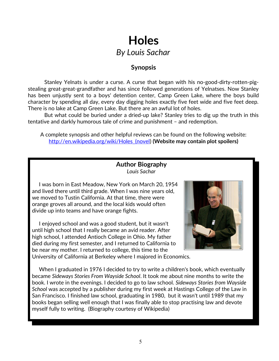### **Synopsis**

Stanley Yelnats is under a curse. A curse that began with his no-good-dirty-rotten-pigstealing great-great-grandfather and has since followed generations of Yelnatses. Now Stanley has been unjustly sent to a boys' detention center, Camp Green Lake, where the boys build character by spending all day, every day digging holes exactly five feet wide and five feet deep. There is no lake at Camp Green Lake. But there are an awful lot of holes.

But what could be buried under a dried-up lake? Stanley tries to dig up the truth in this tentative and darkly humorous tale of crime and punishment – and redemption.

A complete synopsis and other helpful reviews can be found on the following website: [http://en.wikipedia.org/wiki/Holes\\_\(novel\)](http://en.wikipedia.org/wiki/Holes_(novel) **(Website may contain plot spoilers)**

### **Author Biography** *Louis Sachar*

 I was born in East Meadow, New York on March 20, 1954 and lived there until third grade. When I was nine years old, we moved to Tustin California. At that time, there were orange groves all around, and the local kids would often divide up into teams and have orange fights.

 I enjoyed school and was a good student, but it wasn't until high school that I really became an avid reader. After high school, I attended Antioch College in Ohio. My father died during my first semester, and I returned to California to be near my mother. I returned to college, this time to the University of California at Berkeley where I majored in Economics.



 When I graduated in 1976 I decided to try to write a children's book, which eventually became *Sideways Stories From Wayside School*. It took me about nine months to write the book. I wrote in the evenings. I decided to go to law school. *Sideways Stories from Wayside School* was accepted by a publisher during my first week at Hastings College of the Law in San Francisco. I finished law school, graduating in 1980, but it wasn't until 1989 that my books began selling well enough that I was finally able to stop practising law and devote myself fully to writing. (Biography courtesy of Wikipedia)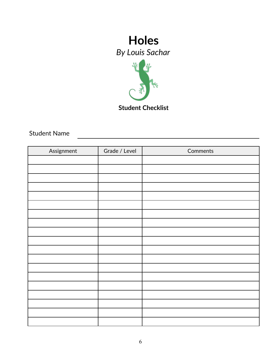

Student Name

| Assignment | Grade / Level | Comments |
|------------|---------------|----------|
|            |               |          |
|            |               |          |
|            |               |          |
|            |               |          |
|            |               |          |
|            |               |          |
|            |               |          |
|            |               |          |
|            |               |          |
|            |               |          |
|            |               |          |
|            |               |          |
|            |               |          |
|            |               |          |
|            |               |          |
|            |               |          |
|            |               |          |
|            |               |          |
|            |               |          |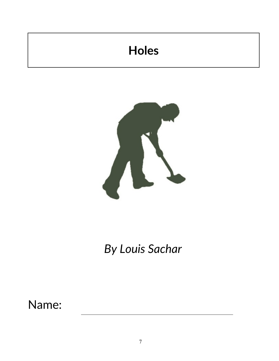# **Holes**



*By Louis Sachar*

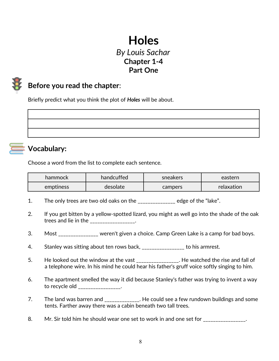## **Holes** *By Louis Sachar* **Chapter 1-4 Part One**



## **Before you read the chapter**:

Briefly predict what you think the plot of *Holes* will be about.



## **Vocabulary:**

Choose a word from the list to complete each sentence.

| hammock   | handcuffed | sneakers | eastern    |
|-----------|------------|----------|------------|
| emptiness | desolate   | campers  | relaxation |

- 1. The only trees are two old oaks on the \_\_\_\_\_\_\_\_\_\_\_\_\_\_\_ edge of the "lake".
- 2. If you get bitten by a yellow-spotted lizard, you might as well go into the shade of the oak trees and lie in the the state of  $\mathbf{r}$ .
- 3. Most \_\_\_\_\_\_\_\_\_\_\_\_\_\_\_\_ weren't given a choice. Camp Green Lake is a camp for bad boys.
- 4. Stanley was sitting about ten rows back, \_\_\_\_\_\_\_\_\_\_\_\_\_\_\_\_\_ to his armrest.
- 5. He looked out the window at the vast \_\_\_\_\_\_\_\_\_\_\_\_\_\_\_. He watched the rise and fall of a telephone wire. In his mind he could hear his father's gruff voice softly singing to him.
- 6. The apartment smelled the way it did because Stanley's father was trying to invent a way to recycle old \_\_\_\_\_\_\_\_\_\_\_\_\_\_\_\_\_.
- 7. The land was barren and \_\_\_\_\_\_\_\_\_\_\_\_\_. He could see a few rundown buildings and some tents. Farther away there was a cabin beneath two tall trees.
- 8. Mr. Sir told him he should wear one set to work in and one set for \_\_\_\_\_\_\_\_\_\_\_\_\_\_\_.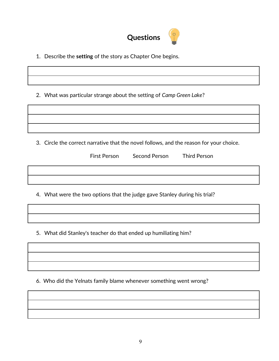

1. Describe the **setting** of the story as Chapter One begins.

2. What was particular strange about the setting of *Camp Green Lake*?

3. Circle the correct narrative that the novel follows, and the reason for your choice.

Second Person Third Person

4. What were the two options that the judge gave Stanley during his trial?

5. What did Stanley's teacher do that ended up humiliating him?

6. Who did the Yelnats family blame whenever something went wrong?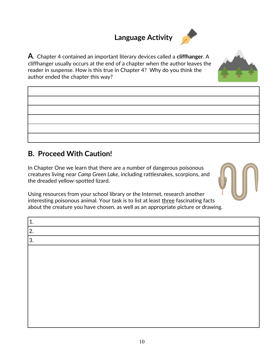## **Language Activity**

**A**. Chapter 4 contained an important literary devices called a **cliffhanger**. A cliffhanger usually occurs at the end of a chapter when the author leaves the reader in suspense. How is this true in Chapter 4? Why do you think the author ended the chapter this way?

## **B. Proceed With Caution!**

In Chapter One we learn that there are a number of dangerous poisonous creatures living near *Camp Green Lake*, including rattlesnakes, scorpions, and the dreaded yellow-spotted lizard.

Using resources from your school library or the Internet, research another interesting poisonous animal. Your task is to list at least three fascinating facts about the creature you have chosen, as well as an appropriate picture or drawing.

| 1. |  |
|----|--|
| 2. |  |
| 3. |  |
|    |  |
|    |  |
|    |  |
|    |  |
|    |  |
|    |  |
|    |  |
|    |  |
|    |  |